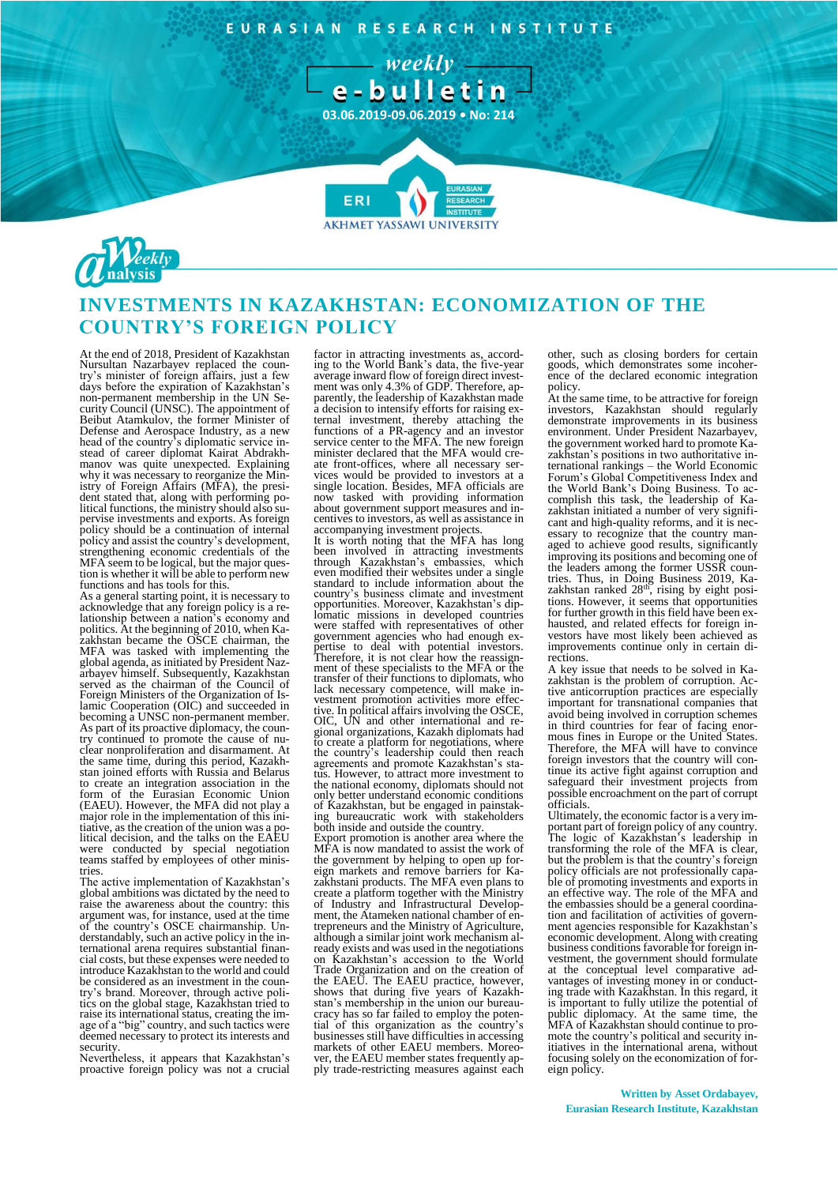EURASIAN RESEARCH INSTITUTE

 $-$  weekly  $-$ 



**AKHMET YASSAWI UNIVERSIT** 



# **INVESTMENTS IN KAZAKHSTAN: ECONOMIZATION OF THE COUNTRY'S FOREIGN POLICY**

At the end of 2018, President of Kazakhstan Nursultan Nazarbayev replaced the coun-try's minister of foreign affairs, just a few days before the expiration of Kazakhstan's non-permanent membership in the UN Se-curity Council (UNSC). The appointment of Beibut Atamkulov, the former Minister of Defense and Aerospace Industry, as a new head of the country's diplomatic service in-stead of career diplomat Kairat Abdrakh-manov was quite unexpected. Explaining why it was necessary to reorganize the Min-istry of Foreign Affairs (MFA), the president stated that, along with performing political functions, the ministry should also supervise investments and exports. As foreign policy should be a continuation of internal policy and assist the country's development, strengthening economic credentials of the MFA seem to be logical, but the major ques-tion is whether it will be able to perform new functions and has tools for this.

As a general starting point, it is necessary to acknowledge that any foreign policy is a relationship between a nation's economy and politics. At the beginning of 2010, when Ka-zakhstan became the OSCE chairman, the MFA was tasked with implementing the global agenda, as initiated by President Nazarbayev himself. Subsequently, Kazakhstan served as the chairman of the Council of Foreign Ministers of the Organization of Islamic Cooperation (OIC) and succeeded in becoming a UNSC non-permanent member. As part of its proactive diplomacy, the coun-try continued to promote the cause of nuclear nonproliferation and disarmament. At the same time, during this period, Kazakh-stan joined efforts with Russia and Belarus to create an integration association in the form of the Eurasian Economic Union (EAEU). However, the MFA did not play a major role in the implementation of this initiative, as the creation of the union was a po-litical decision, and the talks on the EAEU were conducted by special negotiation teams staffed by employees of other ministries.

The active implementation of Kazakhstan's global ambitions was dictated by the need to raise the awareness about the country: this argument was, for instance, used at the time of the country's OSCE chairmanship. Un-derstandably, such an active policy in the in-ternational arena requires substantial financial costs, but these expenses were needed to introduce Kazakhstan to the world and could be considered as an investment in the coun-try's brand. Moreover, through active politics on the global stage, Kazakhstan tried to raise its international status, creating the im-age of a "big" country, and such tactics were deemed necessary to protect its interests and security.

Nevertheless, it appears that Kazakhstan's proactive foreign policy was not a crucial

factor in attracting investments as, accord-ing to the World Bank's data, the five-year average inward flow of foreign direct invest-ment was only 4.3% of GDP. Therefore, apparently, the leadership of Kazakhstan made a decision to intensify efforts for raising external investment, thereby attaching the functions of a PR-agency and an investor service center to the MFA. The new foreign minister declared that the MFA would create front-offices, where all necessary services would be provided to investors at a single location. Besides, MFA officials are now tasked with providing information about government support measures and incentives to investors, as well as assistance in

accompanying investment projects. It is worth noting that the MFA has long been involved in attracting investments through Kazakhstan's embassies, which even modified their websites under a single standard to include information about the country's business climate and investment opportunities. Moreover, Kazakhstan's diplomatic missions in developed countries were staffed with representatives of other government agencies who had enough expertise to deal with potential investors.<br>Therefore, it is not clear how the reassign-<br>ment of these specialists to the MFA or the<br>transfer of their functions to diplomats, who lack necessary competence, will make in-vestment promotion activities more effective. In political affairs involving the OSCE, OIC, UN and other international and re-gional organizations, Kazakh diplomats had to create a platform for negotiations, where the country's leadership could then reach agreements and promote Kazakhstan's status. However, to attract more investment to the national economy, diplomats should not only better understand economic conditions of Kazakhstan, but be engaged in painstaking bureaucratic work with stakeholders

both inside and outside the country. Export promotion is another area where the MFA is now mandated to assist the work of the government by helping to open up foreign markets and remove barriers for Ka-zakhstani products. The MFA even plans to create a platform together with the Ministry of Industry and Infrastructural Development, the Atameken national chamber of entrepreneurs and the Ministry of Agriculture, although a similar joint work mechanism already exists and was used in the negotiations on Kazakhstan's accession to the World Trade Organization and on the creation of the EAEU. The EAEU practice, however, shows that during five years of Kazakh-stan's membership in the union our bureaucracy has so far failed to employ the potential of this organization as the country's businesses still have difficulties in accessing markets of other EAEU members. Moreover, the EAEU member states frequently apply trade-restricting measures against each

other, such as closing borders for certain goods, which demonstrates some incoher-ence of the declared economic integration policy.

At the same time, to be attractive for foreign investors, Kazakhstan should regularly demonstrate improvements in its business environment. Under President Nazarbayev, the government worked hard to promote Kazakhstan's positions in two authoritative international rankings – the World Economic Forum's Global Competitiveness Index and the World Bank's Doing Business. To accomplish this task, the leadership of Kazakhstan initiated a number of very significant and high-quality reforms, and it is necessary to recognize that the country managed to achieve good results, significantly improving its positions and becoming one of the leaders among the former USSR countries. Thus, in Doing Business 2019, Ka-<br>zakhstan ranked 28<sup>th</sup>, rising by eight positions. However, it seems that opportunities for further growth in this field have been exhausted, and related effects for foreign investors have most likely been achieved as improvements continue only in certain directions.

A key issue that needs to be solved in Kazakhstan is the problem of corruption. Active anticorruption practices are especially important for transnational companies that avoid being involved in corruption schemes in third countries for fear of facing enormous fines in Europe or the United States. Therefore, the MFA will have to convince foreign investors that the country will continue its active fight against corruption and safeguard their investment projects from possible encroachment on the part of corrupt officials.

Ultimately, the economic factor is a very important part of foreign policy of any country. The logic of Kazakhstan's leadership in transforming the role of the MFA is clear, but the problem is that the country's foreign policy officials are not professionally capable of promoting investments and exports in an effective way. The role of the MFA and the embassies should be a general coordination and facilitation of activities of government agencies responsible for Kazakhstan's economic development. Along with creating business conditions favorable for foreign investment, the government should formulate at the conceptual level comparative advantages of investing money in or conduct-ing trade with Kazakhstan. In this regard, it is important to fully utilize the potential of public diplomacy. At the same time, the MFA of Kazakhstan should continue to pro-mote the country's political and security in-itiatives in the international arena, without focusing solely on the economization of foreign policy.

## **Written by Asset Ordabayev, Eurasian Research Institute, Kazakhstan**